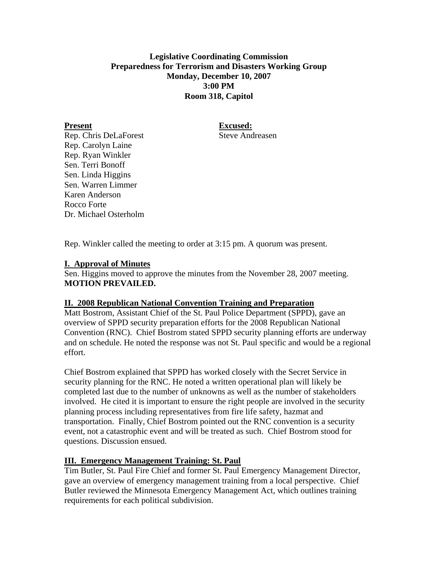## **Legislative Coordinating Commission Preparedness for Terrorism and Disasters Working Group Monday, December 10, 2007 3:00 PM Room 318, Capitol**

Present Excused:

Rep. Chris DeLaForest Steve Andreasen Rep. Carolyn Laine Rep. Ryan Winkler Sen. Terri Bonoff Sen. Linda Higgins Sen. Warren Limmer Karen Anderson Rocco Forte Dr. Michael Osterholm

Rep. Winkler called the meeting to order at 3:15 pm. A quorum was present.

# **I. Approval of Minutes**

Sen. Higgins moved to approve the minutes from the November 28, 2007 meeting. **MOTION PREVAILED.** 

### **II. 2008 Republican National Convention Training and Preparation**

Matt Bostrom, Assistant Chief of the St. Paul Police Department (SPPD), gave an overview of SPPD security preparation efforts for the 2008 Republican National Convention (RNC). Chief Bostrom stated SPPD security planning efforts are underway and on schedule. He noted the response was not St. Paul specific and would be a regional effort.

Chief Bostrom explained that SPPD has worked closely with the Secret Service in security planning for the RNC. He noted a written operational plan will likely be completed last due to the number of unknowns as well as the number of stakeholders involved. He cited it is important to ensure the right people are involved in the security planning process including representatives from fire life safety, hazmat and transportation. Finally, Chief Bostrom pointed out the RNC convention is a security event, not a catastrophic event and will be treated as such. Chief Bostrom stood for questions. Discussion ensued.

# **III. Emergency Management Training: St. Paul**

Tim Butler, St. Paul Fire Chief and former St. Paul Emergency Management Director, gave an overview of emergency management training from a local perspective. Chief Butler reviewed the Minnesota Emergency Management Act, which outlines training requirements for each political subdivision.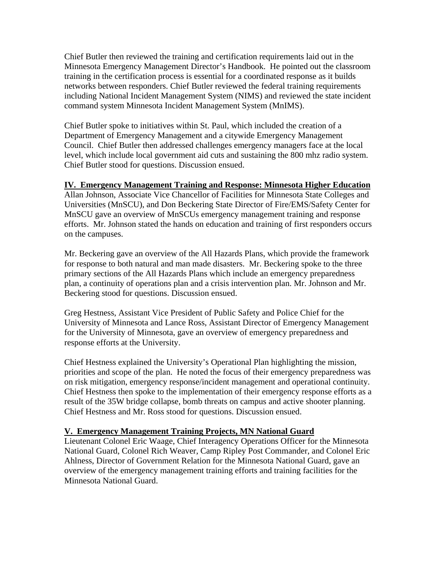Chief Butler then reviewed the training and certification requirements laid out in the Minnesota Emergency Management Director's Handbook. He pointed out the classroom training in the certification process is essential for a coordinated response as it builds networks between responders. Chief Butler reviewed the federal training requirements including National Incident Management System (NIMS) and reviewed the state incident command system Minnesota Incident Management System (MnIMS).

Chief Butler spoke to initiatives within St. Paul, which included the creation of a Department of Emergency Management and a citywide Emergency Management Council. Chief Butler then addressed challenges emergency managers face at the local level, which include local government aid cuts and sustaining the 800 mhz radio system. Chief Butler stood for questions. Discussion ensued.

#### **IV. Emergency Management Training and Response: Minnesota Higher Education**

Allan Johnson, Associate Vice Chancellor of Facilities for Minnesota State Colleges and Universities (MnSCU), and Don Beckering State Director of Fire/EMS/Safety Center for MnSCU gave an overview of MnSCUs emergency management training and response efforts. Mr. Johnson stated the hands on education and training of first responders occurs on the campuses.

Mr. Beckering gave an overview of the All Hazards Plans, which provide the framework for response to both natural and man made disasters. Mr. Beckering spoke to the three primary sections of the All Hazards Plans which include an emergency preparedness plan, a continuity of operations plan and a crisis intervention plan. Mr. Johnson and Mr. Beckering stood for questions. Discussion ensued.

Greg Hestness, Assistant Vice President of Public Safety and Police Chief for the University of Minnesota and Lance Ross, Assistant Director of Emergency Management for the University of Minnesota, gave an overview of emergency preparedness and response efforts at the University.

Chief Hestness explained the University's Operational Plan highlighting the mission, priorities and scope of the plan. He noted the focus of their emergency preparedness was on risk mitigation, emergency response/incident management and operational continuity. Chief Hestness then spoke to the implementation of their emergency response efforts as a result of the 35W bridge collapse, bomb threats on campus and active shooter planning. Chief Hestness and Mr. Ross stood for questions. Discussion ensued.

### **V. Emergency Management Training Projects, MN National Guard**

Lieutenant Colonel Eric Waage, Chief Interagency Operations Officer for the Minnesota National Guard, Colonel Rich Weaver, Camp Ripley Post Commander, and Colonel Eric Ahlness, Director of Government Relation for the Minnesota National Guard, gave an overview of the emergency management training efforts and training facilities for the Minnesota National Guard.